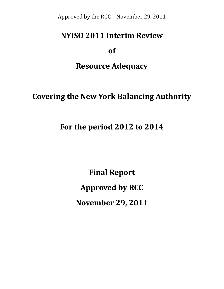# **NYISO 2011 Interim Review**

**of**

# **Resource Adequacy**

# **Covering the New York Balancing Authority**

**For the period 2012 to 2014**

**Final Report Approved by RCC November 29, 2011**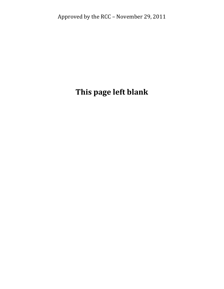# **This page left blank**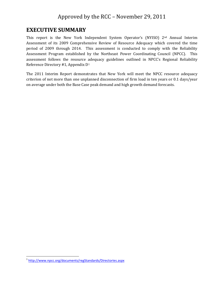### **EXECUTIVE SUMMARY**

This report is the New York Independent System Operator's (NYISO) 2<sup>nd</sup> Annual Interim Assessment of its 2009 Comprehensive Review of Resource Adequacy which covered the time period of 2009 through 2014. This assessment is conducted to comply with the Reliability Assessment Program established by the Northeast Power Coordinating Council (NPCC). This assessment follows the resource adequacy guidelines outlined in NPCC's Regional Reliability Reference Directory #1, Appendix D1

The 2011 Interim Report demonstrates that New York will meet the NPCC resource adequacy criterion of not more than one unplanned disconnection of firm load in ten years or 0.1 days/year on average under both the Base Case peak demand and high growth demand forecasts.

<sup>1</sup> <http://www.npcc.org/documents/regStandards/Directories.aspx>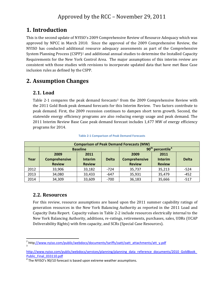## **1. Introduction**

This is the second update of NYISO's 2009 Comprehensive Review of Resource Adequacy which was approved by NPCC in March 2010. Since the approval of the 2009 Comprehensive Review, the NYISO has conducted additional resource adequacy assessments as part of the Comprehensive System Planning Process (CSPP)[2](#page-3-0) and additional annual studies to determine the Installed Capacity Requirements for the New York Control Area. The major assumptions of this interim review are consistent with those studies with revisions to incorporate updated data that have met Base Case inclusion rules as defined by the CSPP.

## **2. Assumption Changes**

#### **2.1. Load**

Table 2-1 compares the peak demand forecasts<sup>[3](#page-3-1)</sup> from the  $2009$  Comprehensive Review with the 2011 Gold Book peak demand forecasts for this Interim Review. Two factors contribute to peak demand. First, the 2009 recession continues to dampen short term growth. Second, the statewide energy efficiency programs are also reducing energy usage and peak demand. The 2011 Interim Review Base Case peak demand forecast includes 1,477 MW of energy efficiency programs for 2014.

| <b>Comparison of Peak Demand Forecasts (MW)</b> |                              |                |              |                                          |                |              |  |
|-------------------------------------------------|------------------------------|----------------|--------------|------------------------------------------|----------------|--------------|--|
|                                                 | <b>Baseline</b>              |                |              | 90 <sup>th</sup> percentile <sup>4</sup> |                |              |  |
|                                                 | 2009<br>2011<br>2009<br>2011 |                |              |                                          |                |              |  |
| Year                                            | Comprehensive                | <b>Interim</b> | <b>Delta</b> | <b>Comprehensive</b>                     | <b>Interim</b> | <b>Delta</b> |  |
|                                                 | <b>Review</b>                | <b>Review</b>  |              | <b>Review</b>                            | <b>Review</b>  |              |  |
| 2012                                            | 33,906                       | 33,182         | $-724$       | 35,737                                   | 35,213         | -524         |  |
| 2013                                            | 34,080                       | 33,433         | $-647$       | 35,931                                   | 35,479         | $-452$       |  |
| 2014                                            | 34,309                       | 33,609         | $-700$       | 36,183                                   | 35,666         | $-517$       |  |

#### **Table 2‐1 Comparison of Peak Demand Forecasts**

#### **2.2. Resources**

For this review, resource assumptions are based upon the 2011 summer capability ratings of generation resources in the New York Balancing Authority as reported in the 2011 Load and Capacity Data Report. Capacity values in Table 2‐2 include resources electrically internal to the New York Balancing Authority, additions, re‐ratings, retirements, purchases, sales, UDRs (UCAP Deliverability Rights) with firm capacity, and SCRs (Special Case Resources).

<span id="page-3-0"></span> <sup>2</sup> http[://www.nyiso.com/public/webdocs/documents/tariffs/oatt/oatt\\_attachments/att\\_y.pdf](http://www.nyiso.com/public/webdocs/documents/tariffs/oatt/oatt_attachments/att_y.pdf)

<span id="page-3-1"></span>http://www.nyiso.com/public/webdocs/services/planning/planning\_data\_reference\_documents/2010\_GoldBook [Public\\_Final\\_033110.pdf](http://www.nyiso.com/public/webdocs/services/planning/planning_data_reference_documents/2010_GoldBook_Public_Final_033110.pdf)

<span id="page-3-2"></span> $4$  The NYISO's 90/10 forecast is based upon extreme weather assumptions.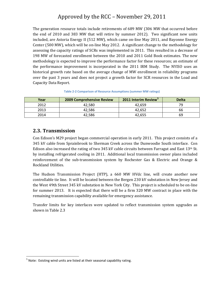The generation resource totals include retirements of 689 MW (306 MW that occurred before the end of 2010 and 383 MW that will retire by summer 2012). Two significant new units included, are Astoria Energy II (512 MW), which came on‐line May 2011, and Bayonne Energy Center (500 MW), which will be on‐line May 2012. A significant change to the methodology for assessing the capacity ratings of SCRs was implemented in 2011. This resulted in a decrease of 198 MW of forecasted enrollment between the 2010 and 2011 Gold Book estimates. The new methodology is expected to improve the performance factor for these resources; an estimate of the performance improvement is incorporated in the 2011 IRM Study. The NYISO uses an historical growth rate based on the average change of MW enrollment in reliability programs over the past 3 years and does not project a growth factor for SCR resources in the Load and Capacity Data Report.

| Table 2-2 Comparison of Resource Assumptions (summer MW ratings) |  |
|------------------------------------------------------------------|--|
|                                                                  |  |

| Year | <b>2009 Comprehensive Review</b> | 2011 Interim Review <sup>3</sup> | <b>Delta</b> |
|------|----------------------------------|----------------------------------|--------------|
| 2012 | 42.580                           | 42.659                           | 70           |
| 2013 | 42.586                           | 42.652                           | 66           |
| 2014 | 42.586                           | 42.655                           | 69           |

#### **2.3. Transmission**

Con Edison's M29 project began commercial operation in early 2011. This project consists of a 345 kV cable from Sprainbrook to Sherman Creek across the Dunwoodie South interface. Con Edison also increased the rating of two 345 kV cable circuits between Farragut and East  $13<sup>th</sup>$  St. by installing refrigerated cooling in 2011. Additional local transmission owner plans included reinforcement of the sub-transmission system by Rochester Gas & Electric and Orange & Rockland Utilities.

The Hudson Transmission Project (HTP), a 660 MW HVdc line, will create another new controllable tie line. It will be located between the Bergen 230 kV substation in New Jersey and the West 49th Street 345 kV substation in New York City. This project is scheduled to be on‐line for summer 2013. It is expected that there will be a firm 320 MW contract in place with the remaining transmission capability available for emergency assistance.

Transfer limits for key interfaces were updated to reflect transmission system upgrades as shown in Table 2.3

<span id="page-4-0"></span> $5$  Note: Existing wind units are listed at their seasonal capability rating.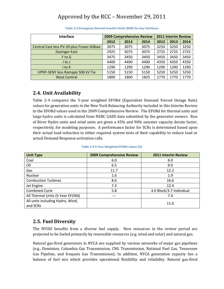| <b>Interface</b>                           | <b>2009 Comprehensive Review</b> |      |      | <b>2011 Interim Review</b> |      |      |
|--------------------------------------------|----------------------------------|------|------|----------------------------|------|------|
|                                            | 2012                             | 2013 | 2014 | 2012                       | 2013 | 2014 |
| Central East less PV-20 plus Fraser-Gilboa | 3075                             | 3075 | 3075 | 3250                       | 3250 | 3250 |
| <b>Dysinger East</b>                       | 2925                             | 3075 | 3075 | 2725                       | 2725 | 2725 |
| F to G                                     | 3475                             | 3450 | 3450 | 3450                       | 3450 | 3450 |
| I to J                                     | 4400                             | 4400 | 4400 | 4350                       | 4350 | 4350 |
| I to K                                     | 1290                             | 1290 | 1290 | 1290                       | 1290 | 1290 |
| UPNY-SENY less Ramapo 500 kV Tie           | 5150                             | 5150 | 5150 | 5250                       | 5250 | 5250 |
| <b>West Central</b>                        | 1800                             | 1800 | 1825 | 1770                       | 1770 | 1770 |

#### **Table 2‐3 Emergency thermal transfer limits (MW) for key interfaces**

#### **2.4. Unit Availability**

Table 2‐4 compares the 5‐year weighted EFORd (Equivalent Demand Forced Outage Rate) values for generation units in the New York Balancing Authority included in this Interim Review to the EFORd values used in the 2009 Comprehensive Review. The EFORd for thermal units and large hydro units is calculated from NERC GADS data submitted by the generator owners. Run of River Hydro units and wind units are given a 45% and 90% summer capacity derate factor, respectively, for modeling purposes. A performance factor for SCRs is determined based upon their actual load reduction in either required system tests of their capability to reduce load or actual Demand Response activation calls.

| <b>Unit Type</b>                             | <b>2009 Comprehensive Review</b> | 2011 Interim Review      |
|----------------------------------------------|----------------------------------|--------------------------|
| Coal                                         | 6.0                              | 6.0                      |
| Oil                                          | 6.5                              | 9.0                      |
| Gas                                          | 11.7                             | 12.2                     |
| <b>Nuclear</b>                               | 1.6                              | 1.9                      |
| <b>Combustion Turbines</b>                   | 8.6                              | 16.6                     |
| Jet Engine                                   | 7.3                              | 12.4                     |
| Combined Cycle                               | 5.8                              | 4.0 Block/3.7 Individual |
| All Thermal Units (5-Year EFORd)             | ---                              | 7.4                      |
| All units including Hydro, Wind,<br>and SCRs |                                  | 11.0                     |

|  | Table 2-4 5-Year Weighted EFORd values (%) |  |  |
|--|--------------------------------------------|--|--|

#### **2.5. Fuel Diversity**

The NYISO benefits from a diverse fuel supply. New resources in the review period are projected to be fueled primarily by renewable resources (e.g. wind and solar) and natural gas.

Natural gas‐fired generators in NYCA are supplied by various networks of major gas pipelines (e.g., Dominion, Columbia Gas Transmission, CNG Transmission, National Fuel Gas, Tennessee Gas Pipeline, and Iroquois Gas Transmission). In addition, NYCA generation capacity has a balance of fuel mix which provides operational flexibility and reliability. Natural gas‐fired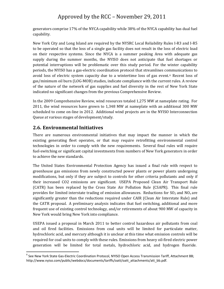generators comprise 17% of the NYCA capability while 38% of the NYCA capability has dual fuel capability.

New York City and Long Island are required by the NYSRC Local Reliability Rules I‐R3 and I‐R5 to be operated so that the loss of a single gas facility does not result in the loss of electric load on their respective systems. Since the NYCA is a summer peaking Area with adequate gas supply during the summer months, the NYISO does not anticipate that fuel shortages or potential interruptions will be problematic over this study period. For the winter capability periods, the NYISO has a gas‐electric coordination protocol that streamlines communications to avoid loss of electric system capacity due to a wintertime loss of gas event.<sup>[6](#page-6-0)</sup> Recent loss of gas/minimum oil burn (LOG‐MOB) studies, indicate compliance with the current rules. A review of the nature of the network of gas supplies and fuel diversity in the rest of New York State indicated no significant changes from the previous Comprehensive Review.

In the 2009 Comprehensive Review, wind resources totaled 1,275 MW at nameplate rating. For 2011, the wind resources have grown to 1,348 MW at nameplate with an additional 300 MW scheduled to come on-line in 2012. Additional wind projects are in the NYISO Interconnection Queue at various stages of development/study.

#### **2.6. Environmental Initiatives**

There are numerous environmental initiatives that may impact the manner in which the existing generating fleet operates, or that may require retrofitting environmental control technologies in order to comply with the new requirements. Several final rules will require fuel‐switching or significant capital investments from numbers of New York generators in order to achieve the new standards.

The United States Environmental Protection Agency has issued a final rule with respect to greenhouse gas emissions from newly constructed power plants or power plants undergoing modifications, but only if they are subject to controls for other criteria pollutants and only if their increased CO2 emissions are significant. USEPA Proposed Clean Air Transport Rule (CATR) has been replaced by the Cross State Air Pollution Rule (CSAPR). This final rule provides for limited interstate trading of emission allowances. Reductions for  $SO_2$  and  $NO_x$  are significantly greater than the reductions required under CAIR (Clean Air Interstate Rule) and the CATR proposal. A preliminary analysis indicates that fuel switching, additional and more frequent use of existing control technology, and/or retirements of about 900 MW of capacity in New York would bring New York into compliance.

USEPA issued a proposal in March 2011 to better control hazardous air pollutants from coal and oil fired facilities. Emissions from coal units will be limited for particulate matter, hydrochloric acid, and mercury although it is unclear at this time what emission controls will be required for coal units to comply with these rules. Emissions from heavy oil‐fired electric power generation will be limited for total metals, hydrochloric acid, and hydrogen fluoride.

<span id="page-6-0"></span>  $^6$  See New York State Gas-Electric Coordination Protocol, NYISO Open Access Transmission Tariff, Attachment BB; http://www.nyiso.com/public/webdocs/documents/tariffs/oatt/oatt\_attachments/att\_bb.pdf.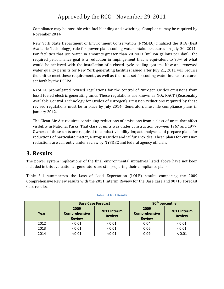Compliance may be possible with fuel blending and switching. Compliance may be required by November 2014.

New York State Department of Environment Conservation (NYSDEC) finalized the BTA (Best Available Technology) rule for power plant cooling water intake structures on July 20, 2011. For facilities that use water in amounts greater than 20 MGD (million gallons per day), the required performance goal is a reduction in impingement that is equivalent to 90% of what would be achieved with the installation of a closed cycle cooling system. New and renewed water quality permits for New York generating facilities issued after July 21, 2011 will require the unit to meet these requirements, as well as the rules set for cooling water intake structures set forth by the USEPA.

NYSDEC promulgated revised regulations for the control of Nitrogen Oxides emissions from fossil fueled electric generating units. These regulations are known as NOx RACT (Reasonably Available Control Technology for Oxides of Nitrogen). Emission reductions required by these revised regulations must be in place by July 2014. Generators must file compliance plans in January 2012.

The Clean Air Act requires continuing reductions of emissions from a class of units that affect visibility in National Parks. That class of units was under construction between 1967 and 1977. Owners of these units are required to conduct visibility impact analyses and prepare plans for reductions of particulate matter, Nitrogen Oxides and Sulfur Dioxides. These plans for emission reductions are currently under review by NYSDEC and federal agency officials.

### **3. Results**

The power system implications of the final environmental initiatives listed above have not been included in this evaluation as generators are still preparing their compliance plans.

Table 3-1 summarizes the Loss of Load Expectation (LOLE) results comparing the 2009 Comprehensive Review results with the 2011 Interim Review for the Base Case and 90/10 Forecast Case results.

|      |                                        | <b>Base Case Forecast</b>     | 90 <sup>th</sup> percentile            |                               |  |
|------|----------------------------------------|-------------------------------|----------------------------------------|-------------------------------|--|
| Year | 2009<br>Comprehensive<br><b>Review</b> | 2011 Interim<br><b>Review</b> | 2009<br>Comprehensive<br><b>Review</b> | 2011 Interim<br><b>Review</b> |  |
| 2012 | < 0.01                                 | < 0.01                        | 0.04                                   | < 0.01                        |  |
| 2013 | < 0.01                                 | < 0.01                        | 0.06                                   | < 0.01                        |  |
| 2014 | < 0.01                                 | < 0.01                        | 0.09                                   | ${}< 0.01$                    |  |

#### **Table 3‐1 LOLE Results**